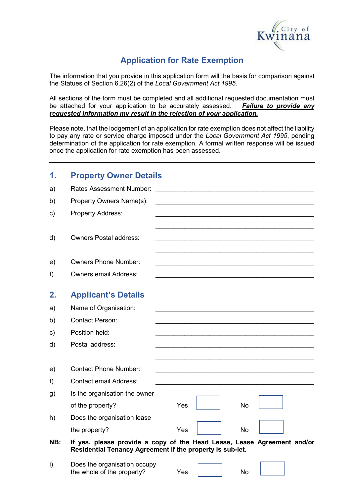

# **Application for Rate Exemption**

The information that you provide in this application form will the basis for comparison against the Statues of Section 6.26(2) of the *Local Government Act 1995*.

All sections of the form must be completed and all additional requested documentation must<br>be attached for your application to be accurately assessed. Failure to provide any be attached for your application to be accurately assessed. *requested information my result in the rejection of your application.* 

Please note, that the lodgement of an application for rate exemption does not affect the liability to pay any rate or service charge imposed under the *Local Government Act 1995*, pending determination of the application for rate exemption. A formal written response will be issued once the application for rate exemption has been assessed.

| 1.  | <b>Property Owner Details</b>                                                                                                        |     |    |                                                            |
|-----|--------------------------------------------------------------------------------------------------------------------------------------|-----|----|------------------------------------------------------------|
| a)  | <b>Rates Assessment Number:</b>                                                                                                      |     |    |                                                            |
| b)  | Property Owners Name(s):                                                                                                             |     |    | <u> 1980 - John Stein, Amerikaansk politiker (</u> † 1920) |
| c)  | <b>Property Address:</b>                                                                                                             |     |    |                                                            |
|     |                                                                                                                                      |     |    |                                                            |
| d)  | <b>Owners Postal address:</b>                                                                                                        |     |    |                                                            |
|     |                                                                                                                                      |     |    |                                                            |
| e)  | <b>Owners Phone Number:</b>                                                                                                          |     |    |                                                            |
| f)  | <b>Owners email Address:</b>                                                                                                         |     |    |                                                            |
| 2.  | <b>Applicant's Details</b>                                                                                                           |     |    |                                                            |
| a)  | Name of Organisation:                                                                                                                |     |    |                                                            |
| b)  | <b>Contact Person:</b>                                                                                                               |     |    |                                                            |
| c)  | Position held:                                                                                                                       |     |    |                                                            |
| d)  | Postal address:                                                                                                                      |     |    |                                                            |
|     |                                                                                                                                      |     |    |                                                            |
| e)  | <b>Contact Phone Number:</b>                                                                                                         |     |    |                                                            |
| f)  | <b>Contact email Address:</b>                                                                                                        |     |    |                                                            |
| g)  | Is the organisation the owner                                                                                                        |     |    |                                                            |
|     | of the property?                                                                                                                     | Yes | No |                                                            |
| h)  | Does the organisation lease                                                                                                          |     |    |                                                            |
|     | the property?                                                                                                                        | Yes | No |                                                            |
| NB: | If yes, please provide a copy of the Head Lease, Lease Agreement and/or<br>Residential Tenancy Agreement if the property is sub-let. |     |    |                                                            |
| i)  | Does the organisation occupy<br>the whole of the property?                                                                           | Yes | No |                                                            |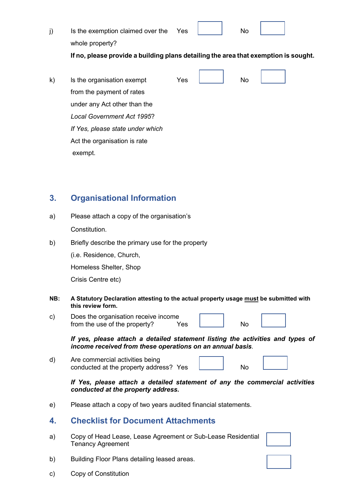| Is the exemption claimed over the | Yes |  |  |
|-----------------------------------|-----|--|--|
| whole property?                   |     |  |  |

**If no, please provide a building plans detailing the area that exemption is sought.**

| $\mathsf{k}$ | Is the organisation exempt        | Yes | No |  |  |
|--------------|-----------------------------------|-----|----|--|--|
|              | from the payment of rates         |     |    |  |  |
|              | under any Act other than the      |     |    |  |  |
|              | <b>Local Government Act 1995?</b> |     |    |  |  |
|              | If Yes, please state under which  |     |    |  |  |
|              | Act the organisation is rate      |     |    |  |  |
|              | exempt.                           |     |    |  |  |

## **3. Organisational Information**

- a) Please attach a copy of the organisation's Constitution.
- b) Briefly describe the primary use for the property

(i.e. Residence, Church,

Homeless Shelter, Shop

Crisis Centre etc)

- **NB: A Statutory Declaration attesting to the actual property usage must be submitted with this review form.**
- c) Does the organisation receive income from the use of the property? Yes No

*If yes, please attach a detailed statement listing the activities and types of income received from these operations on an annual basis.*

d) Are commercial activities being conducted at the property address? Yes **No** 

÷

#### *If Yes, please attach a detailed statement of any the commercial activities conducted at the property address.*

e) Please attach a copy of two years audited financial statements.

#### **4. Checklist for Document Attachments**

a) Copy of Head Lease, Lease Agreement or Sub-Lease Residential Tenancy Agreement

- b) Building Floor Plans detailing leased areas.
- c) Copy of Constitution